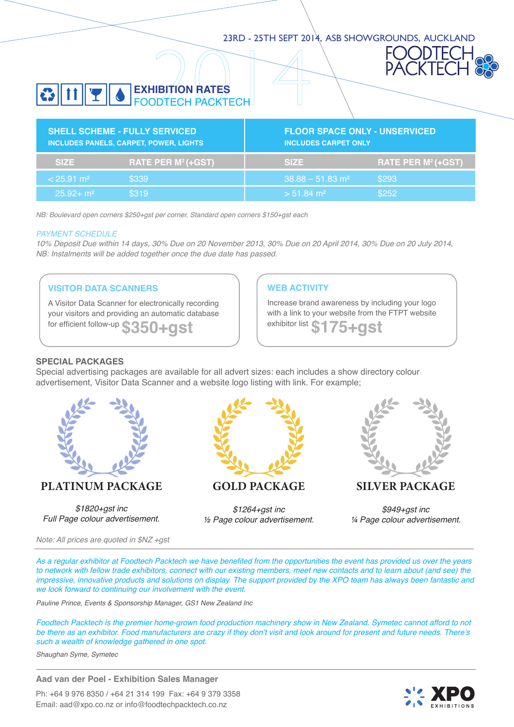## 23rd - 25th Sept 2014, ASB Showgrounds, Auckland



# **Exhibition rates**  FOODTECH PACKTECH

| <b>SHELL SCHEME - FULLY SERVICED</b><br><b>INCLUDES PANELS, CARPET, POWER, LIGHTS</b> |                    | <b>FLOOR SPACE ONLY - UNSERVICED</b><br><b>INCLUDES CARPET ONLY</b> |                    |  |
|---------------------------------------------------------------------------------------|--------------------|---------------------------------------------------------------------|--------------------|--|
| <b>SIZE</b>                                                                           | RATE PER M2 (+GST) | <b>SIZE</b>                                                         | RATE PER M2 (+GST) |  |
| $< 25.91$ m <sup>2</sup>                                                              | \$339              | $38.88 - 51.83$ m <sup>2</sup>                                      | \$293              |  |
| $25.92 + m2$                                                                          | \$319              | $> 51.84$ m <sup>2</sup>                                            | \$252              |  |

NB: Boulevard open corners \$250+gst per corner, Standard open corners \$150+gst each

#### PAYMENT SCHEDULE

10% Deposit Due within 14 days, 30% Due on 20 November 2013, 30% Due on 20 April 2014, 30% Due on 20 July 2014, NB: Instalments will be added together once the due date has passed.

#### **Visitor Data Scanners**

A Visitor Data Scanner for electronically recording your visitors and providing an automatic database for efficient follow-up  $$350+gs$ t **blow-up** \$350+gst

#### **WEB ACTIVITY**

Increase brand awareness by including your logo with a link to your website from the FTPT website exhibitor list  $\bullet \bullet \bullet \bullet \bullet \bullet$ 

#### **Special Packages**

Special advertising packages are available for all advert sizes: each includes a show directory colour advertisement, Visitor Data Scanner and a website logo listing with link. For example;



# **Platinum Package**

*\$1820+gst inc Full Page colour advertisement.*



**Gold Package**

*\$1264+gst inc ½ Page colour advertisement.*



**Silver Package**

*\$949+gst inc ¼ Page colour advertisement.*

Note: All prices are quoted in \$NZ +gst

As a regular exhibitor at Foodtech Packtech we have benefited from the opportunities the event has provided us over the years to network with fellow trade exhibitors, connect with our existing members, meet new contacts and to learn about (and see) the impressive, innovative products and solutions on display. The support provided by the XPO team has always been fantastic and we look forward to continuing our involvement with the event.

Pauline Prince, Events & Sponsorship Manager, GS1 New Zealand Inc

Foodtech Packtech is the premier home-grown food production machinery show in New Zealand. Symetec cannot afford to not be there as an exhibitor. Food manufacturers are crazy if they don't visit and look around for present and future needs. There's such a wealth of knowledge gathered in one spot.

Shaughan Syme, Symetec

**Aad van der Poel - Exhibition Sales Manager**

Ph: +64 9 976 8350 / +64 21 314 199 Fax: +64 9 379 3358 Email: aad@xpo.co.nz or info@foodtechpacktech.co.nz